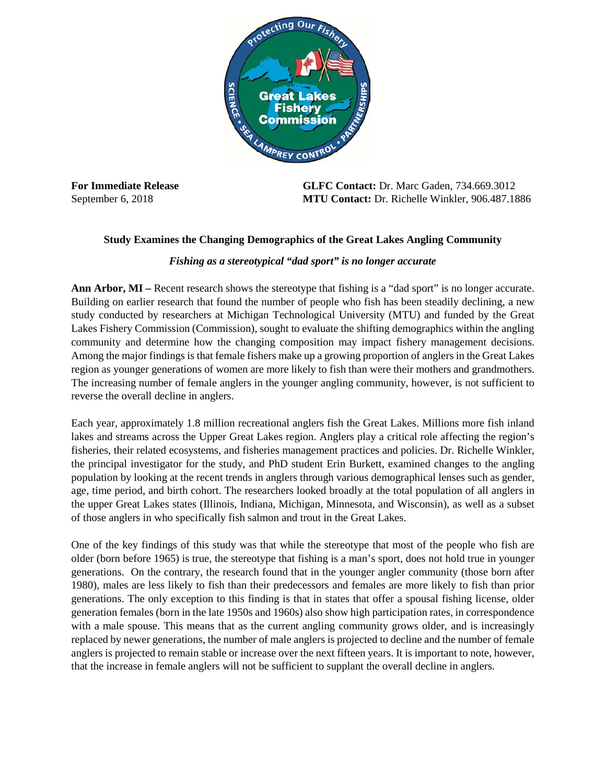

**For Immediate Release GLFC Contact:** Dr. Marc Gaden, 734.669.3012 September 6, 2018 **MTU Contact:** Dr. Richelle Winkler, 906.487.1886

## **Study Examines the Changing Demographics of the Great Lakes Angling Community**

## *Fishing as a stereotypical "dad sport" is no longer accurate*

**Ann Arbor, MI –** Recent research shows the stereotype that fishing is a "dad sport" is no longer accurate. Building on earlier research that found the number of people who fish has been steadily declining, a new study conducted by researchers at Michigan Technological University (MTU) and funded by the Great Lakes Fishery Commission (Commission), sought to evaluate the shifting demographics within the angling community and determine how the changing composition may impact fishery management decisions. Among the major findings is that female fishers make up a growing proportion of anglers in the Great Lakes region as younger generations of women are more likely to fish than were their mothers and grandmothers. The increasing number of female anglers in the younger angling community, however, is not sufficient to reverse the overall decline in anglers.

Each year, approximately 1.8 million recreational anglers fish the Great Lakes. Millions more fish inland lakes and streams across the Upper Great Lakes region. Anglers play a critical role affecting the region's fisheries, their related ecosystems, and fisheries management practices and policies. Dr. Richelle Winkler, the principal investigator for the study, and PhD student Erin Burkett, examined changes to the angling population by looking at the recent trends in anglers through various demographical lenses such as gender, age, time period, and birth cohort. The researchers looked broadly at the total population of all anglers in the upper Great Lakes states (Illinois, Indiana, Michigan, Minnesota, and Wisconsin), as well as a subset of those anglers in who specifically fish salmon and trout in the Great Lakes.

One of the key findings of this study was that while the stereotype that most of the people who fish are older (born before 1965) is true, the stereotype that fishing is a man's sport, does not hold true in younger generations. On the contrary, the research found that in the younger angler community (those born after 1980), males are less likely to fish than their predecessors and females are more likely to fish than prior generations. The only exception to this finding is that in states that offer a spousal fishing license, older generation females (born in the late 1950s and 1960s) also show high participation rates, in correspondence with a male spouse. This means that as the current angling community grows older, and is increasingly replaced by newer generations, the number of male anglers is projected to decline and the number of female anglers is projected to remain stable or increase over the next fifteen years. It is important to note, however, that the increase in female anglers will not be sufficient to supplant the overall decline in anglers.